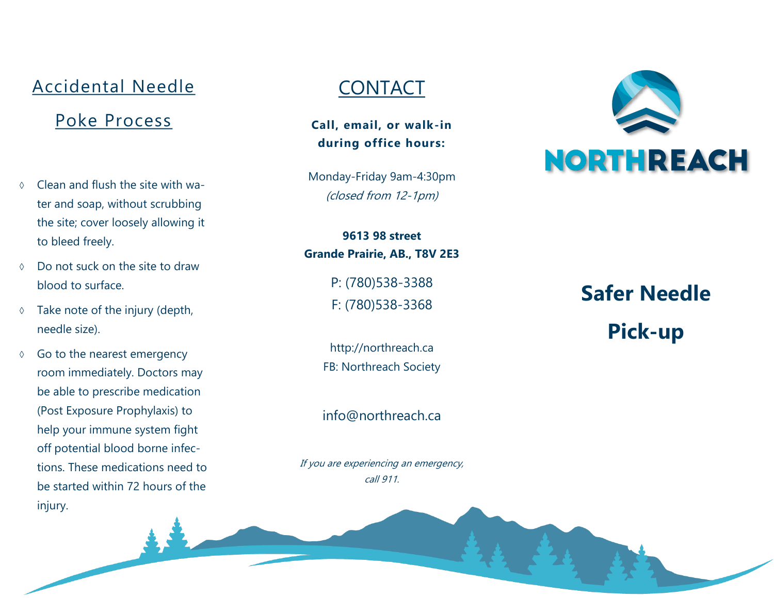#### Accidental Needle

#### Poke Process

- $\circ$  Clean and flush the site with water and soap, without scrubbing the site; cover loosely allowing it to bleed freely.
- Do not suck on the site to draw blood to surface.
- $\Diamond$  Take note of the injury (depth, needle size).
- $\lozenge$  Go to the nearest emergency room immediately. Doctors may be able to prescribe medication (Post Exposure Prophylaxis) to help your immune system fight off potential blood borne infections. These medications need to be started within 72 hours of the injury.

### **CONTACT**

**Call, email, or walk -in during office hours:**

Monday -Friday 9am -4:30pm (closed from 12-1pm)

**9613 98 street Grande Prairie, AB., T8V 2E3**

> P: (780)538 -3388 F: (780)538 -3368

http://northreach.ca FB: Northreach Society

info@northreach.ca

If you are experiencing an emergency, call 911.



**Safer Needle Pick -up**